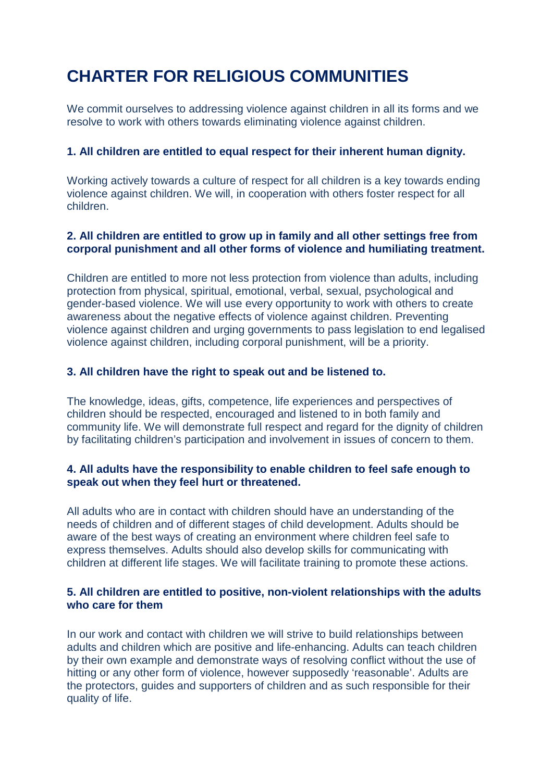# **CHARTER FOR RELIGIOUS COMMUNITIES**

We commit ourselves to addressing violence against children in all its forms and we resolve to work with others towards eliminating violence against children.

### **1. All children are entitled to equal respect for their inherent human dignity.**

Working actively towards a culture of respect for all children is a key towards ending violence against children. We will, in cooperation with others foster respect for all children.

## **2. All children are entitled to grow up in family and all other settings free from corporal punishment and all other forms of violence and humiliating treatment.**

Children are entitled to more not less protection from violence than adults, including protection from physical, spiritual, emotional, verbal, sexual, psychological and gender-based violence. We will use every opportunity to work with others to create awareness about the negative effects of violence against children. Preventing violence against children and urging governments to pass legislation to end legalised violence against children, including corporal punishment, will be a priority.

### **3. All children have the right to speak out and be listened to.**

The knowledge, ideas, gifts, competence, life experiences and perspectives of children should be respected, encouraged and listened to in both family and community life. We will demonstrate full respect and regard for the dignity of children by facilitating children's participation and involvement in issues of concern to them.

### **4. All adults have the responsibility to enable children to feel safe enough to speak out when they feel hurt or threatened.**

All adults who are in contact with children should have an understanding of the needs of children and of different stages of child development. Adults should be aware of the best ways of creating an environment where children feel safe to express themselves. Adults should also develop skills for communicating with children at different life stages. We will facilitate training to promote these actions.

#### **5. All children are entitled to positive, non-violent relationships with the adults who care for them**

In our work and contact with children we will strive to build relationships between adults and children which are positive and life-enhancing. Adults can teach children by their own example and demonstrate ways of resolving conflict without the use of hitting or any other form of violence, however supposedly 'reasonable'. Adults are the protectors, guides and supporters of children and as such responsible for their quality of life.